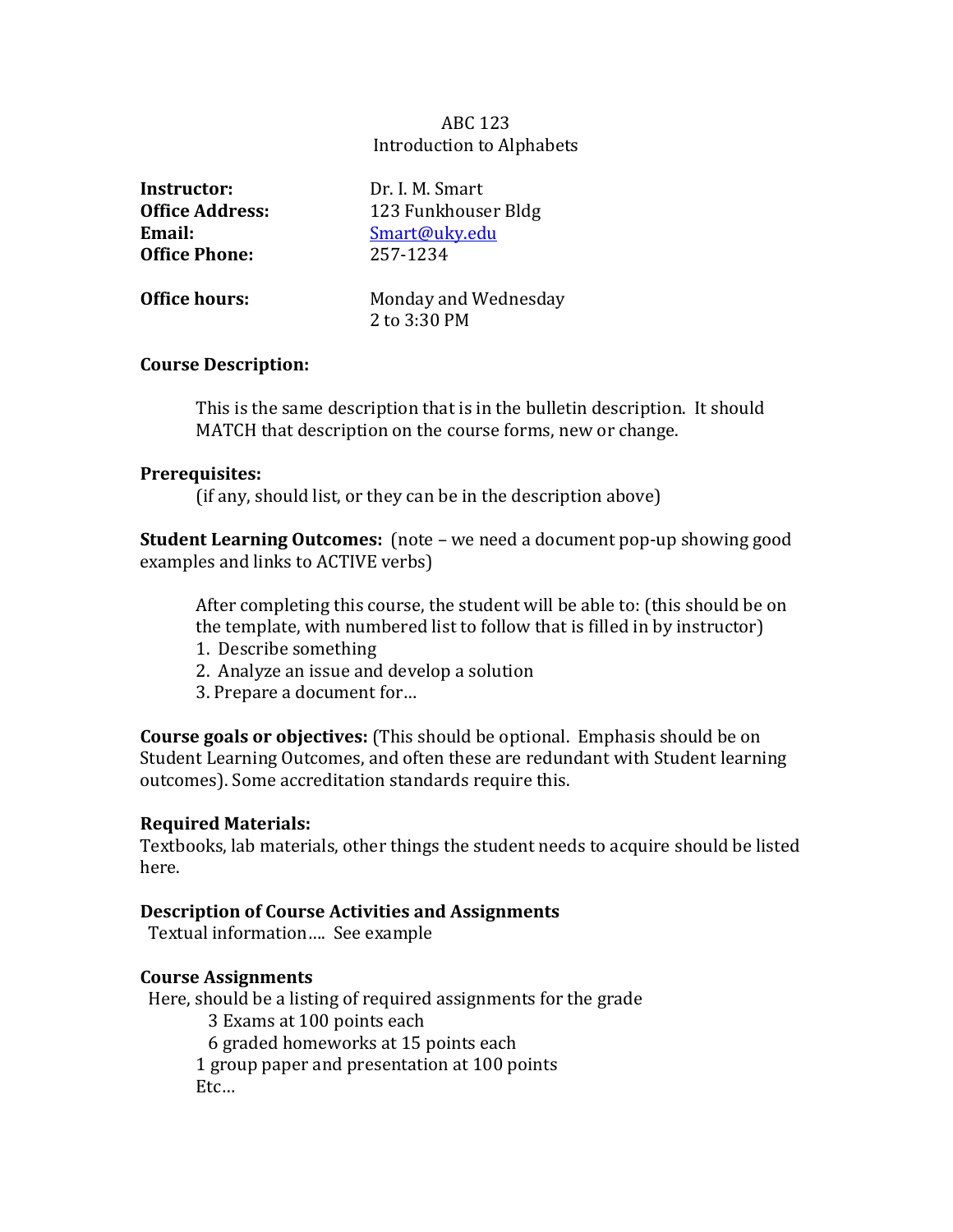## ABC 123 Introduction to Alphabets

| Instructor:            | Dr. I. M. Smart                      |
|------------------------|--------------------------------------|
| <b>Office Address:</b> | 123 Funkhouser Bldg                  |
| Email:                 | Smart@uky.edu                        |
| <b>Office Phone:</b>   | 257-1234                             |
| <b>Office hours:</b>   | Monday and Wednesday<br>2 to 3:30 PM |

### **Course Description:**

This is the same description that is in the bulletin description. It should MATCH that description on the course forms, new or change.

#### **Prerequisites:**

(if any, should list, or they can be in the description above)

**Student Learning Outcomes:** (note – we need a document pop-up showing good examples and links to ACTIVE verbs)

After completing this course, the student will be able to: (this should be on the template, with numbered list to follow that is filled in by instructor)

- 1. Describe something
- 2. Analyze an issue and develop a solution
- 3. Prepare a document for…

**Course goals or objectives:** (This should be optional. Emphasis should be on Student Learning Outcomes, and often these are redundant with Student learning outcomes). Some accreditation standards require this.

### **Required Materials:**

Textbooks, lab materials, other things the student needs to acquire should be listed here.

#### **Description of Course Activities and Assignments**

Textual information…. See example

#### **Course Assignments**

 Here, should be a listing of required assignments for the grade 3 Exams at 100 points each 6 graded homeworks at 15 points each 1 group paper and presentation at 100 points Etc…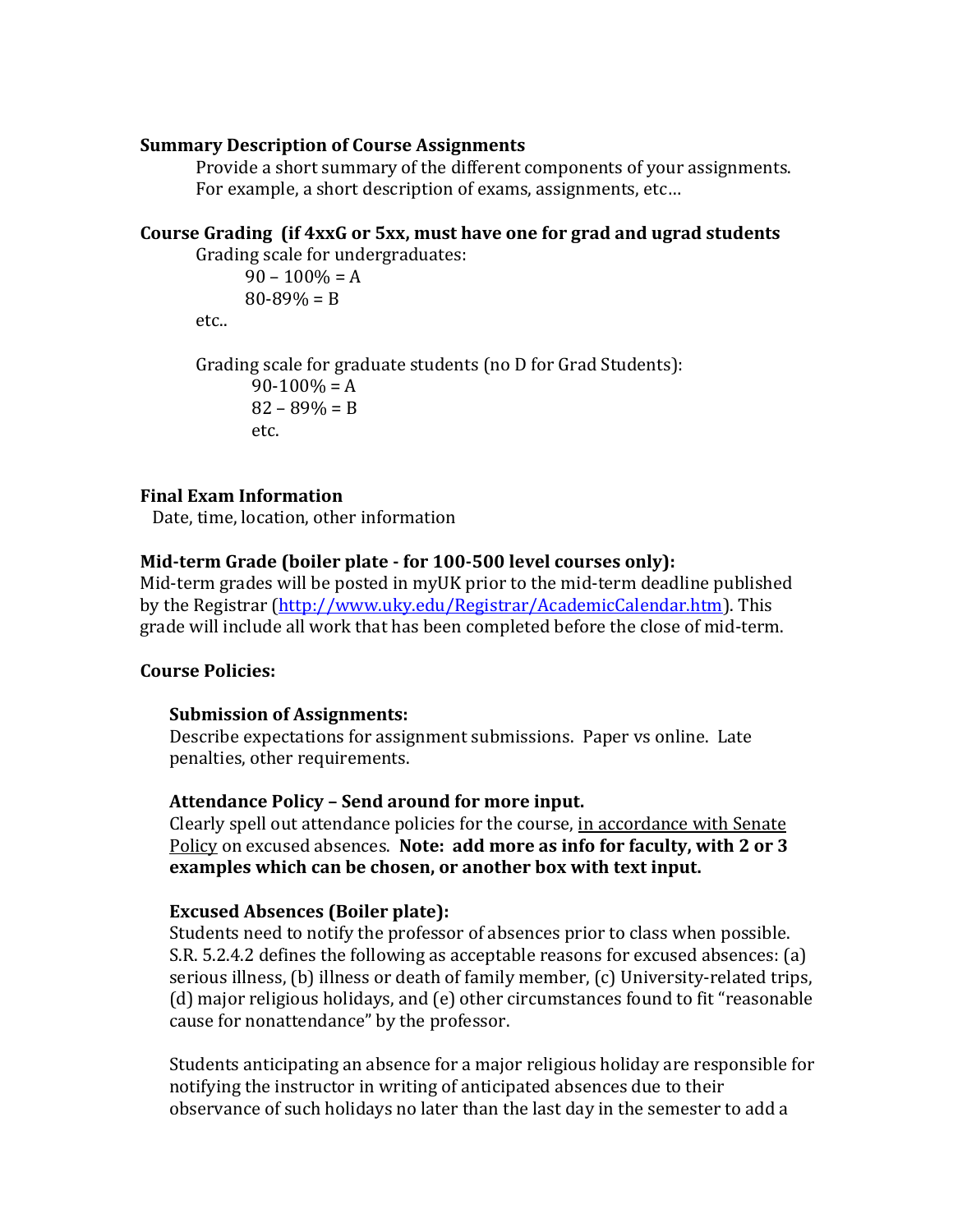## **Summary Description of Course Assignments**

Provide a short summary of the different components of your assignments. For example, a short description of exams, assignments, etc…

# **Course Grading (if 4xxG or 5xx, must have one for grad and ugrad students**

Grading scale for undergraduates:

 $90 - 100\% = A$  $80 - 89\% = B$ etc..

Grading scale for graduate students (no D for Grad Students):

 $90-100% = A$  $82 - 89\% = B$ etc.

# **Final Exam Information**

Date, time, location, other information

# **Mid-term Grade (boiler plate - for 100-500 level courses only):**

Mid-term grades will be posted in myUK prior to the mid-term deadline published by the Registrar [\(http://www.uky.edu/Registrar/AcademicCalendar.htm\)](http://www.uky.edu/Registrar/AcademicCalendar.htm). This grade will include all work that has been completed before the close of mid-term.

# **Course Policies:**

# **Submission of Assignments:**

Describe expectations for assignment submissions. Paper vs online. Late penalties, other requirements.

# **Attendance Policy – Send around for more input.**

Clearly spell out attendance policies for the course, in accordance with Senate Policy on excused absences. **Note: add more as info for faculty, with 2 or 3 examples which can be chosen, or another box with text input.**

# **Excused Absences (Boiler plate):**

Students need to notify the professor of absences prior to class when possible. S.R. 5.2.4.2 defines the following as acceptable reasons for excused absences: (a) serious illness, (b) illness or death of family member, (c) University-related trips, (d) major religious holidays, and (e) other circumstances found to fit "reasonable cause for nonattendance" by the professor.

Students anticipating an absence for a major religious holiday are responsible for notifying the instructor in writing of anticipated absences due to their observance of such holidays no later than the last day in the semester to add a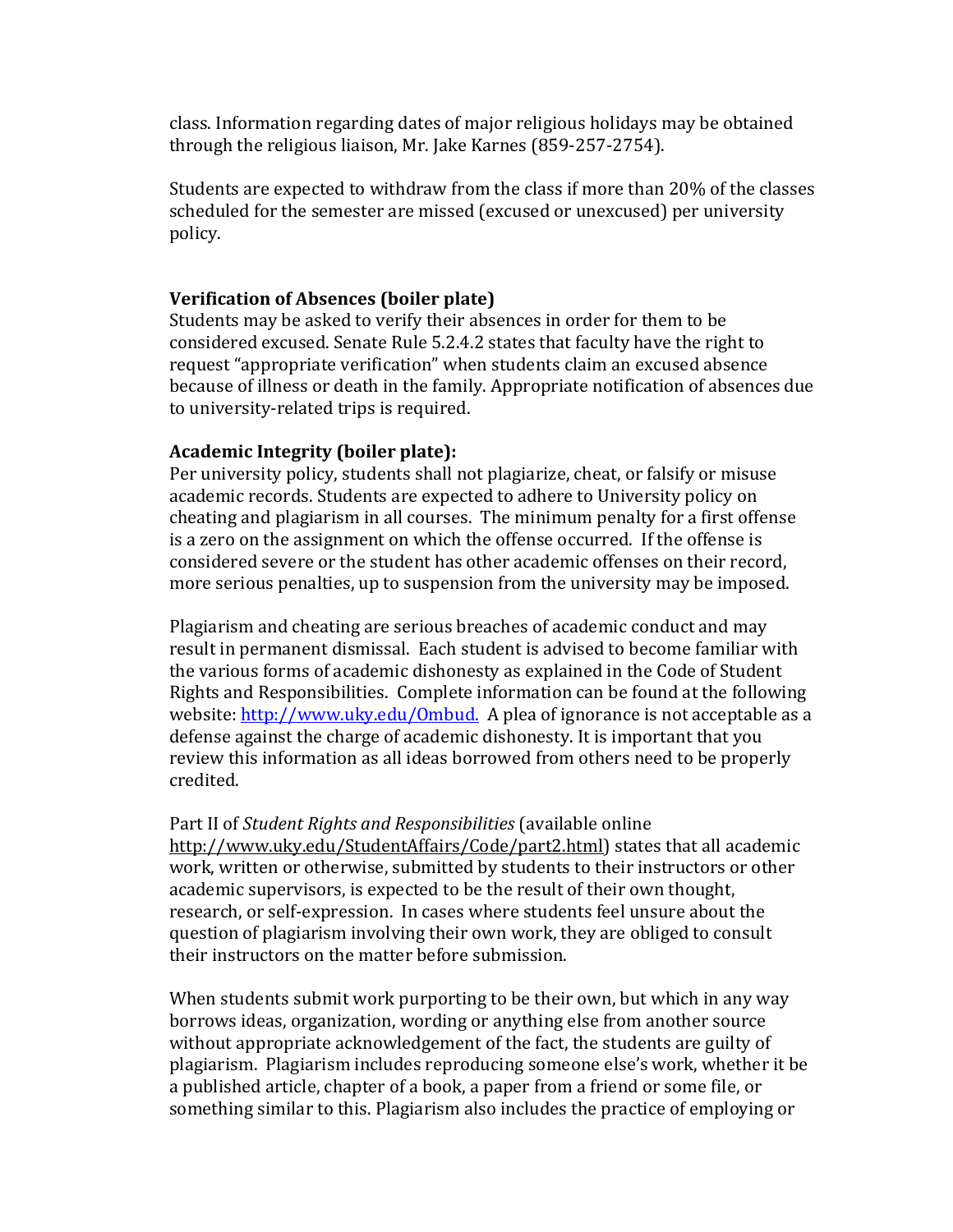class. Information regarding dates of major religious holidays may be obtained through the religious liaison, Mr. Jake Karnes (859-257-2754).

Students are expected to withdraw from the class if more than 20% of the classes scheduled for the semester are missed (excused or unexcused) per university policy.

## **Verification of Absences (boiler plate)**

Students may be asked to verify their absences in order for them to be considered excused. Senate Rule 5.2.4.2 states that faculty have the right to request "appropriate verification" when students claim an excused absence because of illness or death in the family. Appropriate notification of absences due to university-related trips is required.

## **Academic Integrity (boiler plate):**

Per university policy, students shall not plagiarize, cheat, or falsify or misuse academic records. Students are expected to adhere to University policy on cheating and plagiarism in all courses. The minimum penalty for a first offense is a zero on the assignment on which the offense occurred. If the offense is considered severe or the student has other academic offenses on their record, more serious penalties, up to suspension from the university may be imposed.

Plagiarism and cheating are serious breaches of academic conduct and may result in permanent dismissal. Each student is advised to become familiar with the various forms of academic dishonesty as explained in the Code of Student Rights and Responsibilities. Complete information can be found at the following website:<http://www.uky.edu/Ombud.>A plea of ignorance is not acceptable as a defense against the charge of academic dishonesty. It is important that you review this information as all ideas borrowed from others need to be properly credited.

Part II of *Student Rights and Responsibilities* (available online [http://www.uky.edu/StudentAffairs/Code/part2.html\)](http://www.uky.edu/StudentAffairs/Code/part2.html) states that all academic work, written or otherwise, submitted by students to their instructors or other academic supervisors, is expected to be the result of their own thought, research, or self-expression. In cases where students feel unsure about the question of plagiarism involving their own work, they are obliged to consult their instructors on the matter before submission.

When students submit work purporting to be their own, but which in any way borrows ideas, organization, wording or anything else from another source without appropriate acknowledgement of the fact, the students are guilty of plagiarism. Plagiarism includes reproducing someone else's work, whether it be a published article, chapter of a book, a paper from a friend or some file, or something similar to this. Plagiarism also includes the practice of employing or